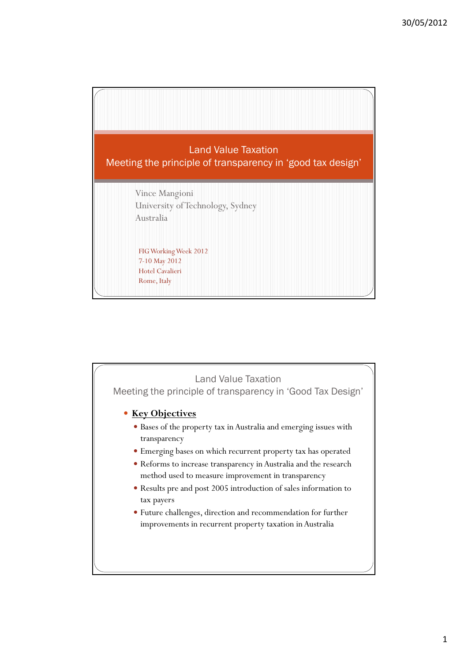

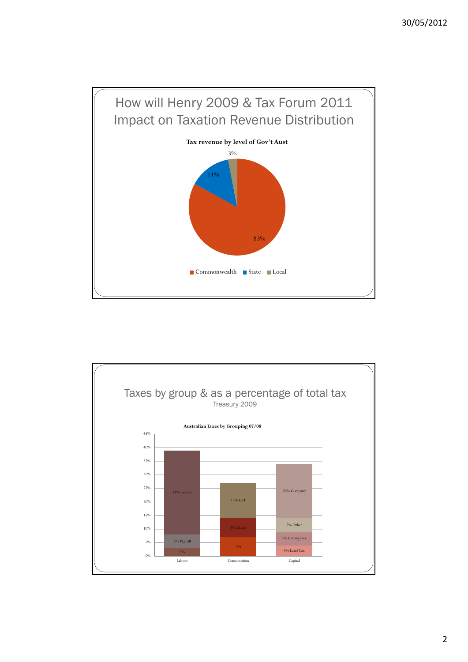

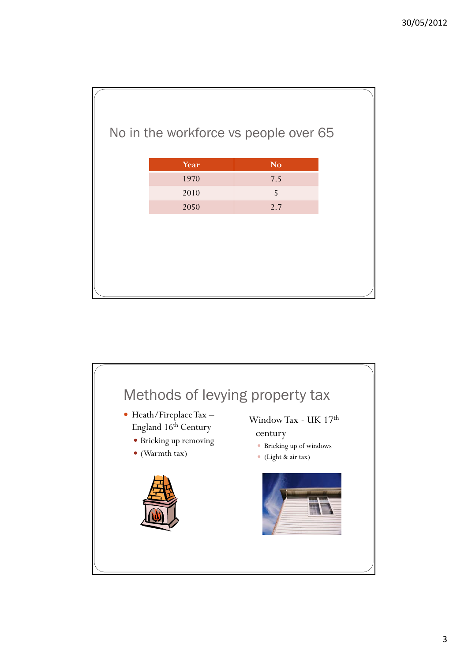|      | No in the workforce vs people over 65 |  |
|------|---------------------------------------|--|
| Year | N <sub>o</sub>                        |  |
| 1970 | 7.5                                   |  |
| 2010 | 5                                     |  |
| 2050 | 2.7                                   |  |
|      |                                       |  |
|      |                                       |  |
|      |                                       |  |
|      |                                       |  |
|      |                                       |  |

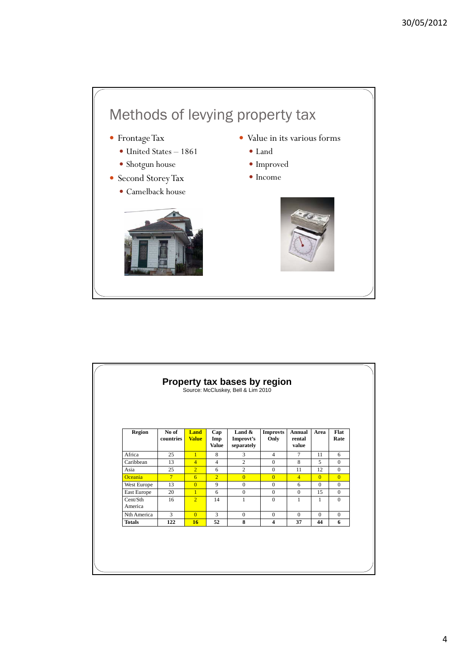

|                     |                    |                      |                            | Source: McCluskey, Bell & Lim 2010   |                         |                                  |                |                |
|---------------------|--------------------|----------------------|----------------------------|--------------------------------------|-------------------------|----------------------------------|----------------|----------------|
| <b>Region</b>       | No of<br>countries | Land<br><b>Value</b> | Cap<br>Imp<br><b>Value</b> | Land $\&$<br>Improvt's<br>separately | <b>Improvts</b><br>Only | <b>Annual</b><br>rental<br>value | Area           | Flat<br>Rate   |
| Africa              | 25                 | $\mathbf{1}$         | 8                          | 3                                    | $\overline{4}$          | $\tau$                           | 11             | 6              |
| Caribbean           | 13                 | $\overline{4}$       | $\overline{4}$             | $\overline{c}$                       | $\mathbf{0}$            | 8                                | 5              | $\Omega$       |
| Asia                | 25                 | $\overline{2}$       | 6                          | $\overline{c}$                       | $\mathbf{0}$            | 11                               | 12             | $\Omega$       |
| <b>Oceania</b>      | $\overline{7}$     | $6\overline{6}$      | $\overline{2}$             | $\overline{0}$                       | $\overline{0}$          | $\overline{4}$                   | $\overline{0}$ | $\overline{0}$ |
| West Europe         | 13                 | $\Omega$             | 9                          | $\mathbf{0}$                         | $\mathbf{0}$            | 6                                | $\mathbf{0}$   | $\Omega$       |
| East Europe         | 20                 | $\overline{1}$       | 6                          | $\mathbf{0}$                         | $\Omega$                | $\mathbf{0}$                     | 15             | $\Omega$       |
| Cent/Sth<br>America | 16                 | $\overline{2}$       | 14                         | 1                                    | $\Omega$                | $\mathbf{1}$                     | 1              | $\Omega$       |
| Nth America         | 3                  | $\Omega$             | 3                          | $\Omega$                             | $\Omega$                | $\Omega$                         | $\Omega$       | $\Omega$       |
| <b>Totals</b>       | 122                | 16                   | 52                         | 8                                    | 4                       | 37                               | 44             | 6              |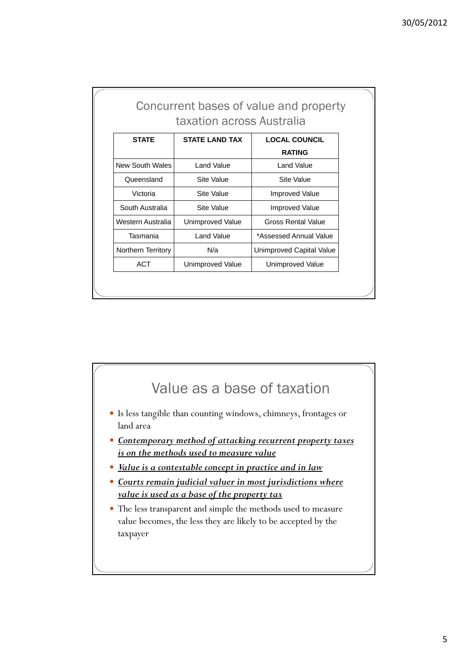|                    |                           | Concurrent bases of value and property |
|--------------------|---------------------------|----------------------------------------|
|                    | taxation across Australia |                                        |
| <b>STATE</b>       | <b>STATE LAND TAX</b>     | <b>LOCAL COUNCIL</b>                   |
|                    |                           | <b>RATING</b>                          |
| New South Wales    | Land Value                | Land Value                             |
| Queensland         | Site Value                | Site Value                             |
| Victoria           | Site Value                | <b>Improved Value</b>                  |
| South Australia    | Site Value                | <b>Improved Value</b>                  |
| Western Australia  | Unimproved Value          | Gross Rental Value                     |
| Tasmania           | Land Value                | *Assessed Annual Value                 |
| Northern Territory | N/a                       | Unimproved Capital Value               |
| ACT                | Unimproved Value          | Unimproved Value                       |

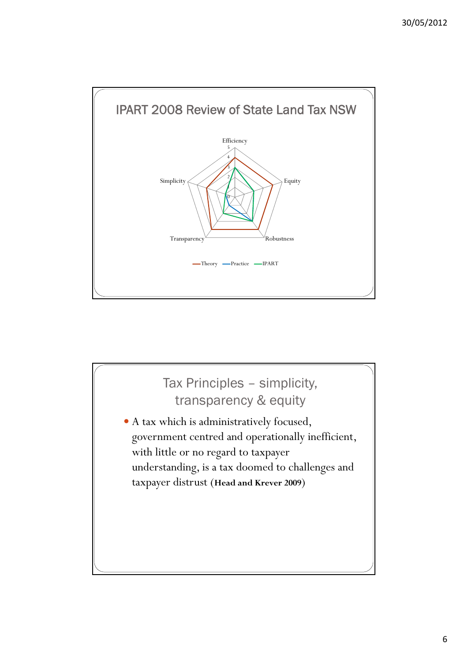

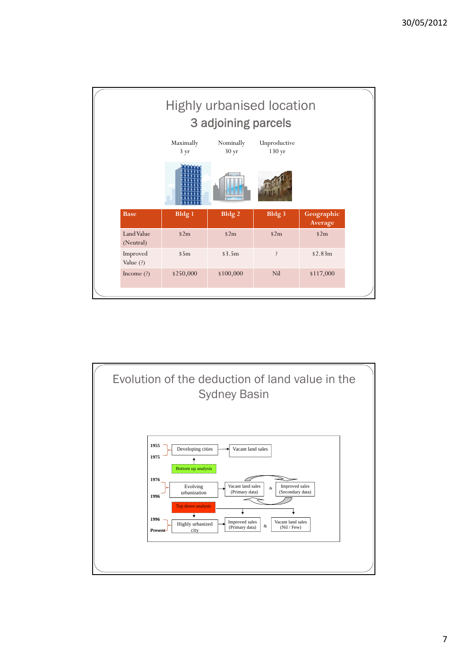

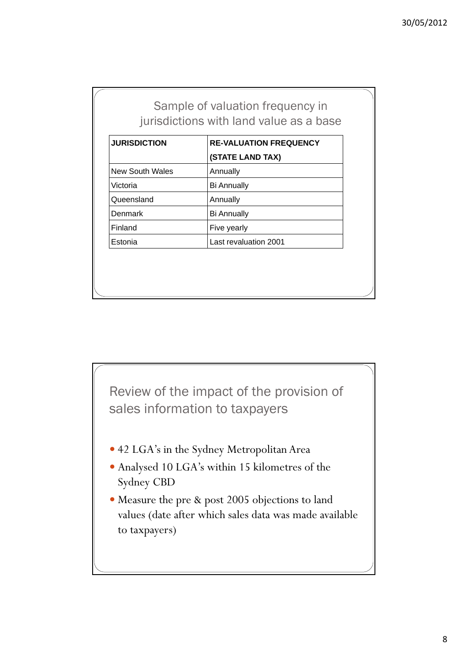| Sample of valuation frequency in        |  |  |  |
|-----------------------------------------|--|--|--|
| jurisdictions with land value as a base |  |  |  |

| <b>JURISDICTION</b>    | <b>RE-VALUATION FREQUENCY</b> |
|------------------------|-------------------------------|
|                        | (STATE LAND TAX)              |
| <b>New South Wales</b> | Annually                      |
| Victoria               | <b>Bi Annually</b>            |
| Queensland             | Annually                      |
| <b>Denmark</b>         | <b>Bi Annually</b>            |
| Finland                | Five yearly                   |
| Estonia                | Last revaluation 2001         |

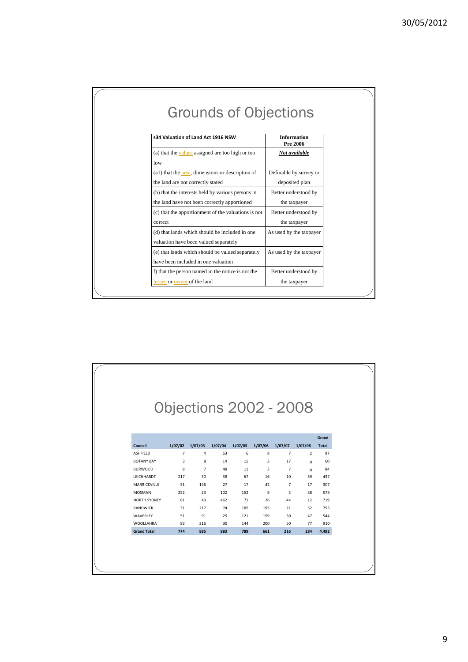| <b>Grounds of Objections</b>                                                                      |                                          |
|---------------------------------------------------------------------------------------------------|------------------------------------------|
| s34 Valuation of Land Act 1916 NSW                                                                | <b>Information</b><br><b>Pre 2006</b>    |
| (a) that the values assigned are too high or too<br>low                                           | Not available                            |
| (a1) that the area, dimensions or description of<br>the land are not correctly stated             | Definable by survey or<br>deposited plan |
| (b) that the interests held by various persons in<br>the land have not been correctly apportioned | Better understood by<br>the taxpayer     |
| (c) that the apportionment of the valuations is not<br>correct                                    | Better understood by<br>the taxpayer     |
| (d) that lands which should be included in one<br>valuation have been valued separately           | As used by the taxpayer                  |
| (e) that lands which should be valued separately<br>have been included in one valuation           | As used by the taxpayer                  |
| f) that the person named in the notice is not the<br>lessee or owner of the land                  | Better understood by<br>the taxpayer     |

| <b>Objections 2002 - 2008</b><br>Grand<br>1/07/02<br>1/07/03<br>1/07/04<br>1/07/05<br>1/07/06<br>1/07/07<br>1/07/08<br><b>Total</b><br>$\overline{7}$<br>63<br>6<br>8<br>$\overline{7}$<br>$\overline{2}$<br>97<br>4<br>3<br>8<br>15<br>3<br>17<br>14<br>60<br>$\Omega$<br>8<br>$\overline{7}$<br>48<br>11<br>3<br>84<br>$\overline{7}$<br>$\Omega$<br>217<br>30<br>38<br>67<br>16<br>10<br>59<br>437<br>51<br>146<br>27<br>17<br>42<br>$\overline{7}$<br>307<br>17<br>252<br>23<br>9<br>3<br>102<br>152<br>38<br>579<br>61<br>43<br>462<br>71<br>26<br>12<br>719<br>44<br>31<br>217<br>74<br>185<br>195<br>21<br>32<br>755<br>91<br>25<br>51<br>121<br>159<br>50<br>47<br>544<br>200<br>93<br>316<br>30<br>144<br>50<br>77<br>910 | Council<br>774<br>885<br>883<br>789<br>661<br>216<br>284<br>4,492 |                     |  |  |  |  |
|------------------------------------------------------------------------------------------------------------------------------------------------------------------------------------------------------------------------------------------------------------------------------------------------------------------------------------------------------------------------------------------------------------------------------------------------------------------------------------------------------------------------------------------------------------------------------------------------------------------------------------------------------------------------------------------------------------------------------------|-------------------------------------------------------------------|---------------------|--|--|--|--|
|                                                                                                                                                                                                                                                                                                                                                                                                                                                                                                                                                                                                                                                                                                                                    |                                                                   |                     |  |  |  |  |
|                                                                                                                                                                                                                                                                                                                                                                                                                                                                                                                                                                                                                                                                                                                                    |                                                                   |                     |  |  |  |  |
|                                                                                                                                                                                                                                                                                                                                                                                                                                                                                                                                                                                                                                                                                                                                    |                                                                   |                     |  |  |  |  |
|                                                                                                                                                                                                                                                                                                                                                                                                                                                                                                                                                                                                                                                                                                                                    |                                                                   |                     |  |  |  |  |
|                                                                                                                                                                                                                                                                                                                                                                                                                                                                                                                                                                                                                                                                                                                                    |                                                                   |                     |  |  |  |  |
|                                                                                                                                                                                                                                                                                                                                                                                                                                                                                                                                                                                                                                                                                                                                    |                                                                   |                     |  |  |  |  |
|                                                                                                                                                                                                                                                                                                                                                                                                                                                                                                                                                                                                                                                                                                                                    |                                                                   | ASHFIELD            |  |  |  |  |
|                                                                                                                                                                                                                                                                                                                                                                                                                                                                                                                                                                                                                                                                                                                                    |                                                                   | <b>BOTANY BAY</b>   |  |  |  |  |
|                                                                                                                                                                                                                                                                                                                                                                                                                                                                                                                                                                                                                                                                                                                                    |                                                                   | <b>BURWOOD</b>      |  |  |  |  |
|                                                                                                                                                                                                                                                                                                                                                                                                                                                                                                                                                                                                                                                                                                                                    |                                                                   | LEICHHARDT          |  |  |  |  |
|                                                                                                                                                                                                                                                                                                                                                                                                                                                                                                                                                                                                                                                                                                                                    |                                                                   | MARRICKVILLE        |  |  |  |  |
|                                                                                                                                                                                                                                                                                                                                                                                                                                                                                                                                                                                                                                                                                                                                    |                                                                   | <b>MOSMAN</b>       |  |  |  |  |
|                                                                                                                                                                                                                                                                                                                                                                                                                                                                                                                                                                                                                                                                                                                                    |                                                                   | <b>NORTH SYDNEY</b> |  |  |  |  |
|                                                                                                                                                                                                                                                                                                                                                                                                                                                                                                                                                                                                                                                                                                                                    |                                                                   | <b>RANDWICK</b>     |  |  |  |  |
|                                                                                                                                                                                                                                                                                                                                                                                                                                                                                                                                                                                                                                                                                                                                    |                                                                   | WAVERLEY            |  |  |  |  |
|                                                                                                                                                                                                                                                                                                                                                                                                                                                                                                                                                                                                                                                                                                                                    |                                                                   | <b>WOOLLAHRA</b>    |  |  |  |  |
|                                                                                                                                                                                                                                                                                                                                                                                                                                                                                                                                                                                                                                                                                                                                    |                                                                   | <b>Grand Total</b>  |  |  |  |  |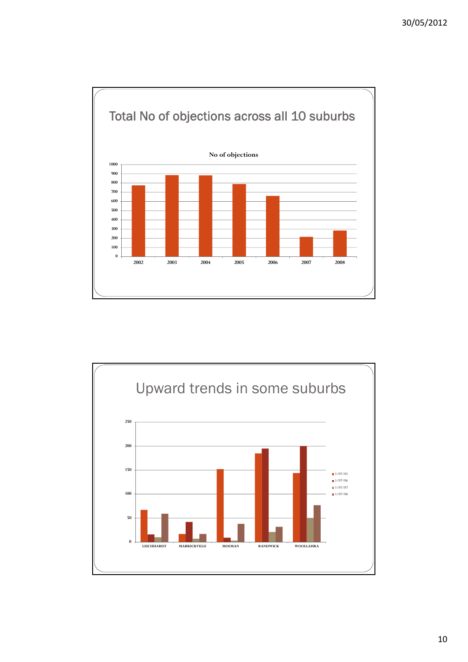